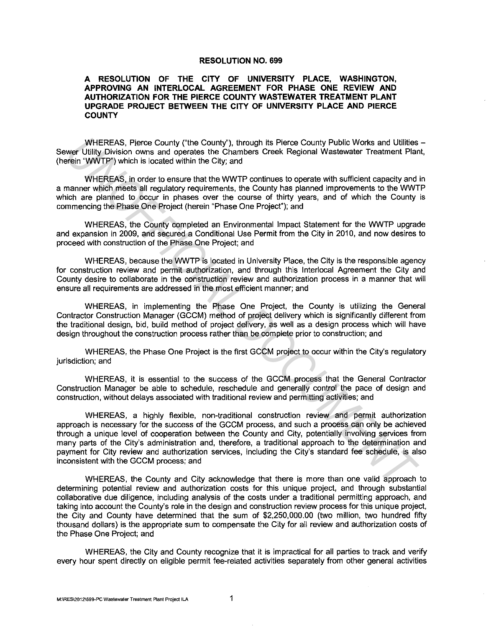## **RESOLUTION NO. 699**

## **A RESOLUTION OF THE CITY OF UNIVERSITY PLACE, WASHINGTON, APPROVING AN INTERLOCAL AGREEMENT FOR PHASE ONE REVIEW AND AUTHORIZATION FOR THE PIERCE COUNTY WASTEWATER TREATMENT PLANT UPGRADE PROJECT BETWEEN THE CITY OF UNIVERSITY PLACE AND PIERCE COUNTY**

WHEREAS, Pierce County ("the County''), through its Pierce County Public Works and Utilities - Sewer Utility Division owns and operates the Chambers Creek Regional Wastewater Treatment Plant, (herein "WWTP") which is located within the City; and

WHEREAS, in order to ensure that the WWTP continues to operate with sufficient capacity and in a manner which meets all regulatory requirements, the County has planned improvements to the WWTP which are planned to occur in phases over the course of thirty years, and of which the County is commencing the Phase One Project (herein "Phase One Project"); and

WHEREAS, the County completed an Environmental Impact Statement for the WWTP upgrade and expansion in 2009, and secured a Conditional Use Permit from the City in 2010, and now desires to proceed with construction of the Phase One Project; and

WHEREAS, because the WWTP is located in University Place, the City is the responsible agency for construction review and permit authorization, and through this lnterlocal Agreement the City and County desire to collaborate in the construction review and authorization process in a manner that will ensure all requirements are addressed in the most efficient manner; and

WHEREAS, in implementing the Phase One Project, the County is utilizing the General Contractor Construction Manager (GCCM) method of project delivery which is significantly different from the traditional design, bid, build method of project delivery, as well as a design process which will have design throughout the construction process rather than be complete prior to construction; and

WHEREAS, the Phase One Project is the first GCCM project to occur within the City's regulatory jurisdiction; and

WHEREAS, it is essential to the success of the GCCM process that the General Contractor Construction Manager be able to schedule, reschedule and generally control the pace of design and construction, without delays associated with traditional review and permitting activities; and

WHEREAS, a highly flexible, non-traditional construction review and permit authorization approach is necessary for the success of the GCCM process, and such a process can only be achieved through a unique level Of cooperation between the County and City, potentially involving services from many parts of the City's administration and, therefore, a traditional approach to the determination and payment for City review and authorization services, including the City's standard fee schedule, is also inconsistent with the GCCM process; and WHEREAS, Pieros County (the County), through its Pierce County Public Works and Ultilities<br>
Wear Ultily Division covers and operates the Chrambers Creek Regional Wastewater Treatment Parameter<br>
Wear Ultily Division covers

WHEREAS, the County and City acknowledge that there is more than one valid approach to determining potential review and authorization costs for this unique project, and through substantial collaborative due diligence, including analysis of the costs under a traditional permitting approach, and taking into account the County's role in the design and construction review process for this unique project, the City and County have determined that the sum of \$2,250,000.00 (two million, two hundred fifty thousand dollars) is the appropriate sum to compensate the City for all review and authorization costs of the Phase One Project; and

WHEREAS, the City and County recognize that it is impractical for all parties to track and verify every hour spent directly on eligible permit fee-related activities separately from other general activities